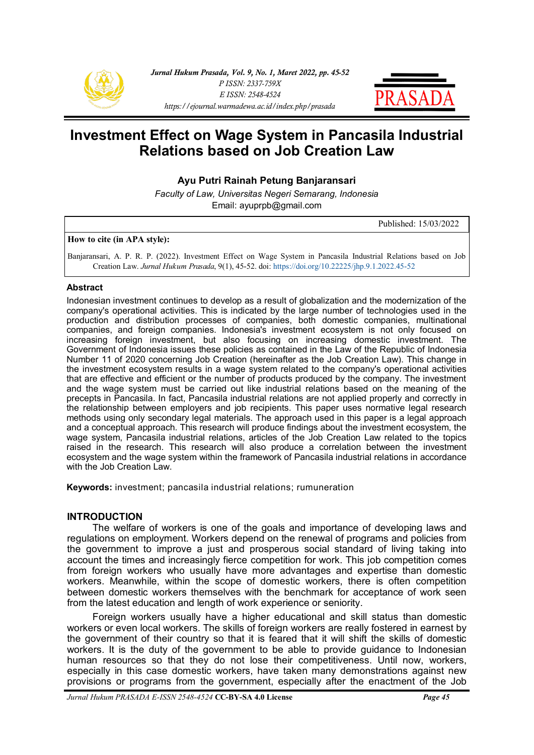



# **Investment Effect on Wage System in Pancasila Industrial Relations based on Job Creation Law**

**Ayu Putri Rainah Petung Banjaransari**

*Faculty of Law, Universitas Negeri Semarang, Indonesia* Email: ayuprpb@gmail.com

Published: 15/03/2022

#### **How to cite (in APA style):**

Banjaransari, A. P. R. P. (2022). Investment Effect on Wage System in Pancasila Industrial Relations based on Job Creation Law. *Jurnal Hukum Prasada*, 9(1), 45-52. doi: [https://doi.org/10.22225/jhp.9.1.2022.45](https://ejournal.warmadewa.ac.id/index.php/prasada/article/view/4334)-52

#### **Abstract**

Indonesian investment continues to develop as a result of globalization and the modernization of the company's operational activities. This is indicated by the large number of technologies used in the production and distribution processes of companies, both domestic companies, multinational companies, and foreign companies. Indonesia's investment ecosystem is not only focused on increasing foreign investment, but also focusing on increasing domestic investment. The Government of Indonesia issues these policies as contained in the Law of the Republic of Indonesia Number 11 of 2020 concerning Job Creation (hereinafter as the Job Creation Law). This change in the investment ecosystem results in a wage system related to the company's operational activities that are effective and efficient or the number of products produced by the company. The investment and the wage system must be carried out like industrial relations based on the meaning of the precepts in Pancasila. In fact, Pancasila industrial relations are not applied properly and correctly in the relationship between employers and job recipients. This paper uses normative legal research methods using only secondary legal materials. The approach used in this paper is a legal approach and a conceptual approach. This research will produce findings about the investment ecosystem, the wage system, Pancasila industrial relations, articles of the Job Creation Law related to the topics raised in the research. This research will also produce a correlation between the investment ecosystem and the wage system within the framework of Pancasila industrial relations in accordance with the Job Creation Law.

**Keywords:** investment; pancasila industrial relations; rumuneration

### **INTRODUCTION**

The welfare of workers is one of the goals and importance of developing laws and regulations on employment. Workers depend on the renewal of programs and policies from the government to improve a just and prosperous social standard of living taking into account the times and increasingly fierce competition for work. This job competition comes from foreign workers who usually have more advantages and expertise than domestic workers. Meanwhile, within the scope of domestic workers, there is often competition between domestic workers themselves with the benchmark for acceptance of work seen from the latest education and length of work experience or seniority.

Foreign workers usually have a higher educational and skill status than domestic workers or even local workers. The skills of foreign workers are really fostered in earnest by the government of their country so that it is feared that it will shift the skills of domestic workers. It is the duty of the government to be able to provide guidance to Indonesian human resources so that they do not lose their competitiveness. Until now, workers, especially in this case domestic workers, have taken many demonstrations against new provisions or programs from the government, especially after the enactment of the Job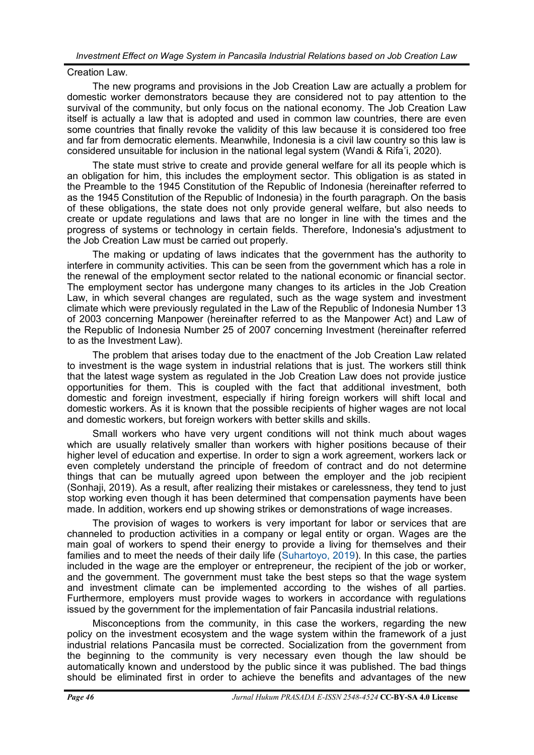# Creation Law.

The new programs and provisions in the Job Creation Law are actually a problem for domestic worker demonstrators because they are considered not to pay attention to the survival of the community, but only focus on the national economy. The Job Creation Law itself is actually a law that is adopted and used in common law countries, there are even some countries that finally revoke the validity of this law because it is considered too free and far from democratic elements. Meanwhile, Indonesia is a civil law country so this law is considered unsuitable for inclusion in the national legal system (Wandi & Rifa'i, 2020).

The state must strive to create and provide general welfare for all its people which is an obligation for him, this includes the employment sector. This obligation is as stated in the Preamble to the 1945 Constitution of the Republic of Indonesia (hereinafter referred to as the 1945 Constitution of the Republic of Indonesia) in the fourth paragraph. On the basis of these obligations, the state does not only provide general welfare, but also needs to create or update regulations and laws that are no longer in line with the times and the progress of systems or technology in certain fields. Therefore, Indonesia's adjustment to the Job Creation Law must be carried out properly.

The making or updating of laws indicates that the government has the authority to interfere in community activities. This can be seen from the government which has a role in the renewal of the employment sector related to the national economic or financial sector. The employment sector has undergone many changes to its articles in the Job Creation Law, in which several changes are regulated, such as the wage system and investment climate which were previously regulated in the Law of the Republic of Indonesia Number 13 of 2003 concerning Manpower (hereinafter referred to as the Manpower Act) and Law of the Republic of Indonesia Number 25 of 2007 concerning Investment (hereinafter referred to as the Investment Law).

The problem that arises today due to the enactment of the Job Creation Law related to investment is the wage system in industrial relations that is just. The workers still think that the latest wage system as regulated in the Job Creation Law does not provide justice opportunities for them. This is coupled with the fact that additional investment, both domestic and foreign investment, especially if hiring foreign workers will shift local and domestic workers. As it is known that the possible recipients of higher wages are not local and domestic workers, but foreign workers with better skills and skills.

Small workers who have very urgent conditions will not think much about wages which are usually relatively smaller than workers with higher positions because of their higher level of education and expertise. In order to sign a work agreement, workers lack or even completely understand the principle of freedom of contract and do not determine things that can be mutually agreed upon between the employer and the job recipient (Sonhaji, 2019). As a result, after realizing their mistakes or carelessness, they tend to just stop working even though it has been determined that compensation payments have been made. In addition, workers end up showing strikes or demonstrations of wage increases.

The provision of wages to workers is very important for labor or services that are channeled to production activities in a company or legal entity or organ. Wages are the main goal of workers to spend their energy to provide a living for themselves and their families and to meet the needs of their daily life [\(Suhartoyo, 2019\).](#page-6-0) In this case, the parties included in the wage are the employer or entrepreneur, the recipient of the job or worker, and the government. The government must take the best steps so that the wage system and investment climate can be implemented according to the wishes of all parties. Furthermore, employers must provide wages to workers in accordance with regulations issued by the government for the implementation of fair Pancasila industrial relations.

Misconceptions from the community, in this case the workers, regarding the new policy on the investment ecosystem and the wage system within the framework of a just industrial relations Pancasila must be corrected. Socialization from the government from the beginning to the community is very necessary even though the law should be automatically known and understood by the public since it was published. The bad things should be eliminated first in order to achieve the benefits and advantages of the new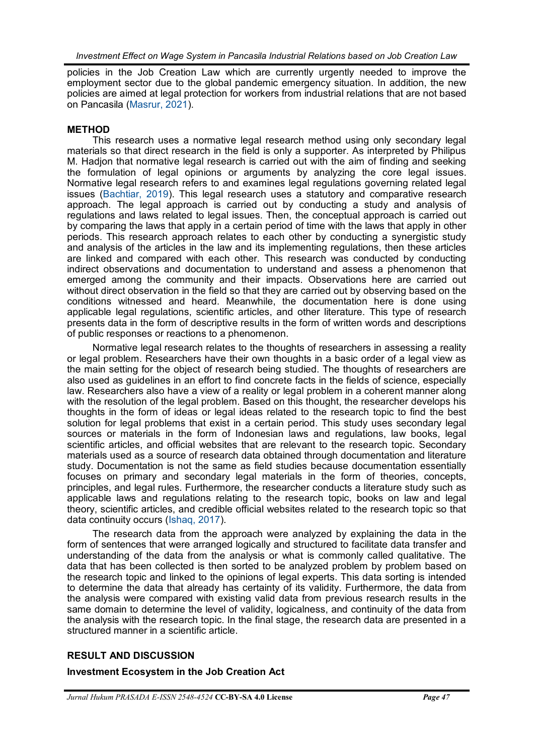policies in the Job Creation Law which are currently urgently needed to improve the employment sector due to the global pandemic emergency situation. In addition, the new policies are aimed at legal protection for workers from industrial relations that are not based on Pancasila [\(Masrur, 2021\)](#page-6-0).

# **METHOD**

This research uses a normative legal research method using only secondary legal materials so that direct research in the field is only a supporter. As interpreted by Philipus M. Hadjon that normative legal research is carried out with the aim of finding and seeking the formulation of legal opinions or arguments by analyzing the core legal issues. Normative legal research refers to and examines legal regulations governing related legal issues ([Bachtiar, 2019\).](#page-6-0) This legal research uses a statutory and comparative research approach. The legal approach is carried out by conducting a study and analysis of regulations and laws related to legal issues. Then, the conceptual approach is carried out by comparing the laws that apply in a certain period of time with the laws that apply in other periods. This research approach relates to each other by conducting a synergistic study and analysis of the articles in the law and its implementing regulations, then these articles are linked and compared with each other. This research was conducted by conducting indirect observations and documentation to understand and assess a phenomenon that emerged among the community and their impacts. Observations here are carried out without direct observation in the field so that they are carried out by observing based on the conditions witnessed and heard. Meanwhile, the documentation here is done using applicable legal regulations, scientific articles, and other literature. This type of research presents data in the form of descriptive results in the form of written words and descriptions of public responses or reactions to a phenomenon.

Normative legal research relates to the thoughts of researchers in assessing a reality or legal problem. Researchers have their own thoughts in a basic order of a legal view as the main setting for the object of research being studied. The thoughts of researchers are also used as guidelines in an effort to find concrete facts in the fields of science, especially law. Researchers also have a view of a reality or legal problem in a coherent manner along with the resolution of the legal problem. Based on this thought, the researcher develops his thoughts in the form of ideas or legal ideas related to the research topic to find the best solution for legal problems that exist in a certain period. This study uses secondary legal sources or materials in the form of Indonesian laws and regulations, law books, legal scientific articles, and official websites that are relevant to the research topic. Secondary materials used as a source of research data obtained through documentation and literature study. Documentation is not the same as field studies because documentation essentially focuses on primary and secondary legal materials in the form of theories, concepts, principles, and legal rules. Furthermore, the researcher conducts a literature study such as applicable laws and regulations relating to the research topic, books on law and legal theory, scientific articles, and credible official websites related to the research topic so that data continuity occurs ([Ishaq, 2017\)](#page-6-0).

The research data from the approach were analyzed by explaining the data in the form of sentences that were arranged logically and structured to facilitate data transfer and understanding of the data from the analysis or what is commonly called qualitative. The data that has been collected is then sorted to be analyzed problem by problem based on the research topic and linked to the opinions of legal experts. This data sorting is intended to determine the data that already has certainty of its validity. Furthermore, the data from the analysis were compared with existing valid data from previous research results in the same domain to determine the level of validity, logicalness, and continuity of the data from the analysis with the research topic. In the final stage, the research data are presented in a structured manner in a scientific article.

# **RESULT AND DISCUSSION**

# **Investment Ecosystem in the Job Creation Act**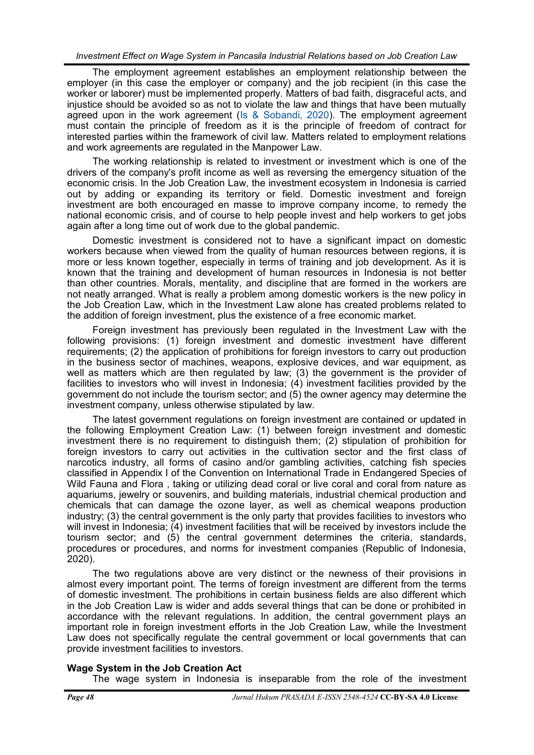The employment agreement establishes an employment relationship between the employer (in this case the employer or company) and the job recipient (in this case the worker or laborer) must be implemented properly. Matters of bad faith, disgraceful acts, and injustice should be avoided so as not to violate the law and things that have been mutually agreed upon in the work agreement ([Is & Sobandi, 2020\).](#page-6-0) The employment agreement must contain the principle of freedom as it is the principle of freedom of contract for interested parties within the framework of civil law. Matters related to employment relations and work agreements are regulated in the Manpower Law.

The working relationship is related to investment or investment which is one of the drivers of the company's profit income as well as reversing the emergency situation of the economic crisis. In the Job Creation Law, the investment ecosystem in Indonesia is carried out by adding or expanding its territory or field. Domestic investment and foreign investment are both encouraged en masse to improve company income, to remedy the national economic crisis, and of course to help people invest and help workers to get jobs again after a long time out of work due to the global pandemic.

Domestic investment is considered not to have a significant impact on domestic workers because when viewed from the quality of human resources between regions, it is more or less known together, especially in terms of training and job development. As it is known that the training and development of human resources in Indonesia is not better than other countries. Morals, mentality, and discipline that are formed in the workers are not neatly arranged. What is really a problem among domestic workers is the new policy in the Job Creation Law, which in the Investment Law alone has created problems related to the addition of foreign investment, plus the existence of a free economic market.

Foreign investment has previously been regulated in the Investment Law with the following provisions: (1) foreign investment and domestic investment have different requirements; (2) the application of prohibitions for foreign investors to carry out production in the business sector of machines, weapons, explosive devices, and war equipment, as well as matters which are then regulated by law; (3) the government is the provider of facilities to investors who will invest in Indonesia; (4) investment facilities provided by the government do not include the tourism sector; and (5) the owner agency may determine the investment company, unless otherwise stipulated by law.

The latest government regulations on foreign investment are contained or updated in the following Employment Creation Law: (1) between foreign investment and domestic investment there is no requirement to distinguish them; (2) stipulation of prohibition for foreign investors to carry out activities in the cultivation sector and the first class of narcotics industry, all forms of casino and/or gambling activities, catching fish species classified in Appendix I of the Convention on International Trade in Endangered Species of Wild Fauna and Flora , taking or utilizing dead coral or live coral and coral from nature as aquariums, jewelry or souvenirs, and building materials, industrial chemical production and chemicals that can damage the ozone layer, as well as chemical weapons production industry; (3) the central government is the only party that provides facilities to investors who will invest in Indonesia; (4) investment facilities that will be received by investors include the tourism sector; and (5) the central government determines the criteria, standards, procedures or procedures, and norms for investment companies (Republic of Indonesia, 2020).

The two regulations above are very distinct or the newness of their provisions in almost every important point. The terms of foreign investment are different from the terms of domestic investment. The prohibitions in certain business fields are also different which in the Job Creation Law is wider and adds several things that can be done or prohibited in accordance with the relevant regulations. In addition, the central government plays an important role in foreign investment efforts in the Job Creation Law, while the Investment Law does not specifically regulate the central government or local governments that can provide investment facilities to investors.

# **Wage System in the Job Creation Act**

The wage system in Indonesia is inseparable from the role of the investment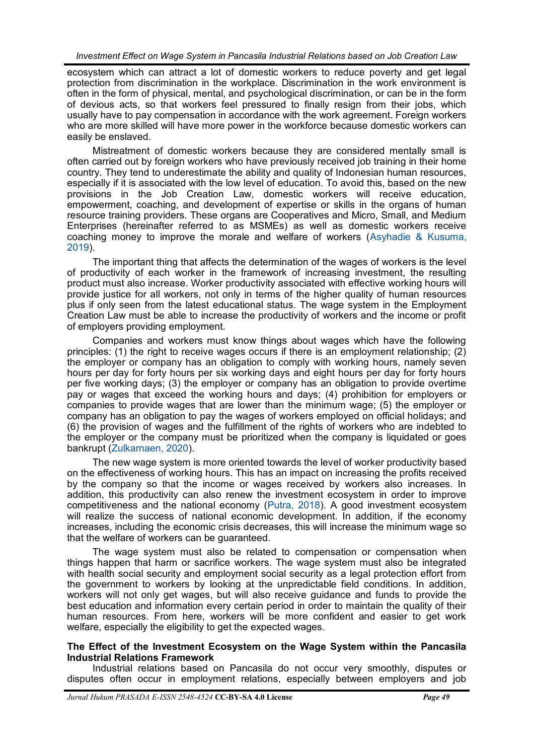ecosystem which can attract a lot of domestic workers to reduce poverty and get legal protection from discrimination in the workplace. Discrimination in the work environment is often in the form of physical, mental, and psychological discrimination, or can be in the form of devious acts, so that workers feel pressured to finally resign from their jobs, which usually have to pay compensation in accordance with the work agreement. Foreign workers who are more skilled will have more power in the workforce because domestic workers can easily be enslaved.

Mistreatment of domestic workers because they are considered mentally small is often carried out by foreign workers who have previously received job training in their home country. They tend to underestimate the ability and quality of Indonesian human resources, especially if it is associated with the low level of education. To avoid this, based on the new provisions in the Job Creation Law, domestic workers will receive education, empowerment, coaching, and development of expertise or skills in the organs of human resource training providers. These organs are Cooperatives and Micro, Small, and Medium Enterprises (hereinafter referred to as MSMEs) as well as domestic workers receive coaching money to improve the morale and welfare of workers ([Asyhadie & Kusuma,](#page-6-0)  [2019\)](#page-6-0).

The important thing that affects the determination of the wages of workers is the level of productivity of each worker in the framework of increasing investment, the resulting product must also increase. Worker productivity associated with effective working hours will provide justice for all workers, not only in terms of the higher quality of human resources plus if only seen from the latest educational status. The wage system in the Employment Creation Law must be able to increase the productivity of workers and the income or profit of employers providing employment.

Companies and workers must know things about wages which have the following principles: (1) the right to receive wages occurs if there is an employment relationship; (2) the employer or company has an obligation to comply with working hours, namely seven hours per day for forty hours per six working days and eight hours per day for forty hours per five working days; (3) the employer or company has an obligation to provide overtime pay or wages that exceed the working hours and days; (4) prohibition for employers or companies to provide wages that are lower than the minimum wage; (5) the employer or company has an obligation to pay the wages of workers employed on official holidays; and (6) the provision of wages and the fulfillment of the rights of workers who are indebted to the employer or the company must be prioritized when the company is liquidated or goes bankrupt [\(Zulkarnaen, 2020\).](#page-6-0)

The new wage system is more oriented towards the level of worker productivity based on the effectiveness of working hours. This has an impact on increasing the profits received by the company so that the income or wages received by workers also increases. In addition, this productivity can also renew the investment ecosystem in order to improve competitiveness and the national economy [\(Putra, 2018\).](#page-6-0) A good investment ecosystem will realize the success of national economic development. In addition, if the economy increases, including the economic crisis decreases, this will increase the minimum wage so that the welfare of workers can be guaranteed.

The wage system must also be related to compensation or compensation when things happen that harm or sacrifice workers. The wage system must also be integrated with health social security and employment social security as a legal protection effort from the government to workers by looking at the unpredictable field conditions. In addition, workers will not only get wages, but will also receive guidance and funds to provide the best education and information every certain period in order to maintain the quality of their human resources. From here, workers will be more confident and easier to get work welfare, especially the eligibility to get the expected wages.

### **The Effect of the Investment Ecosystem on the Wage System within the Pancasila Industrial Relations Framework**

Industrial relations based on Pancasila do not occur very smoothly, disputes or disputes often occur in employment relations, especially between employers and job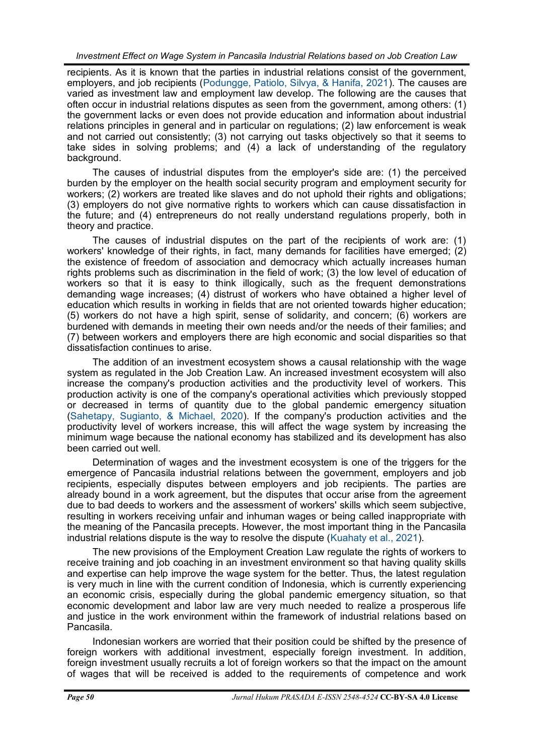recipients. As it is known that the parties in industrial relations consist of the government, employers, and job recipients [\(Podungge, Patiolo, Silvya, & Hanifa, 2021\)](#page-6-0). The causes are varied as investment law and employment law develop. The following are the causes that often occur in industrial relations disputes as seen from the government, among others: (1) the government lacks or even does not provide education and information about industrial relations principles in general and in particular on regulations; (2) law enforcement is weak and not carried out consistently; (3) not carrying out tasks objectively so that it seems to take sides in solving problems; and (4) a lack of understanding of the regulatory background.

The causes of industrial disputes from the employer's side are: (1) the perceived burden by the employer on the health social security program and employment security for workers; (2) workers are treated like slaves and do not uphold their rights and obligations; (3) employers do not give normative rights to workers which can cause dissatisfaction in the future; and (4) entrepreneurs do not really understand regulations properly, both in theory and practice.

The causes of industrial disputes on the part of the recipients of work are: (1) workers' knowledge of their rights, in fact, many demands for facilities have emerged; (2) the existence of freedom of association and democracy which actually increases human rights problems such as discrimination in the field of work; (3) the low level of education of workers so that it is easy to think illogically, such as the frequent demonstrations demanding wage increases; (4) distrust of workers who have obtained a higher level of education which results in working in fields that are not oriented towards higher education; (5) workers do not have a high spirit, sense of solidarity, and concern; (6) workers are burdened with demands in meeting their own needs and/or the needs of their families; and (7) between workers and employers there are high economic and social disparities so that dissatisfaction continues to arise.

The addition of an investment ecosystem shows a causal relationship with the wage system as regulated in the Job Creation Law. An increased investment ecosystem will also increase the company's production activities and the productivity level of workers. This production activity is one of the company's operational activities which previously stopped or decreased in terms of quantity due to the global pandemic emergency situation [\(Sahetapy, Sugianto, & Michael, 2020\).](#page-6-0) If the company's production activities and the productivity level of workers increase, this will affect the wage system by increasing the minimum wage because the national economy has stabilized and its development has also been carried out well.

Determination of wages and the investment ecosystem is one of the triggers for the emergence of Pancasila industrial relations between the government, employers and job recipients, especially disputes between employers and job recipients. The parties are already bound in a work agreement, but the disputes that occur arise from the agreement due to bad deeds to workers and the assessment of workers' skills which seem subjective, resulting in workers receiving unfair and inhuman wages or being called inappropriate with the meaning of the Pancasila precepts. However, the most important thing in the Pancasila industrial relations dispute is the way to resolve the dispute ([Kuahaty et al., 2021\).](#page-6-0)

The new provisions of the Employment Creation Law regulate the rights of workers to receive training and job coaching in an investment environment so that having quality skills and expertise can help improve the wage system for the better. Thus, the latest regulation is very much in line with the current condition of Indonesia, which is currently experiencing an economic crisis, especially during the global pandemic emergency situation, so that economic development and labor law are very much needed to realize a prosperous life and justice in the work environment within the framework of industrial relations based on Pancasila.

Indonesian workers are worried that their position could be shifted by the presence of foreign workers with additional investment, especially foreign investment. In addition, foreign investment usually recruits a lot of foreign workers so that the impact on the amount of wages that will be received is added to the requirements of competence and work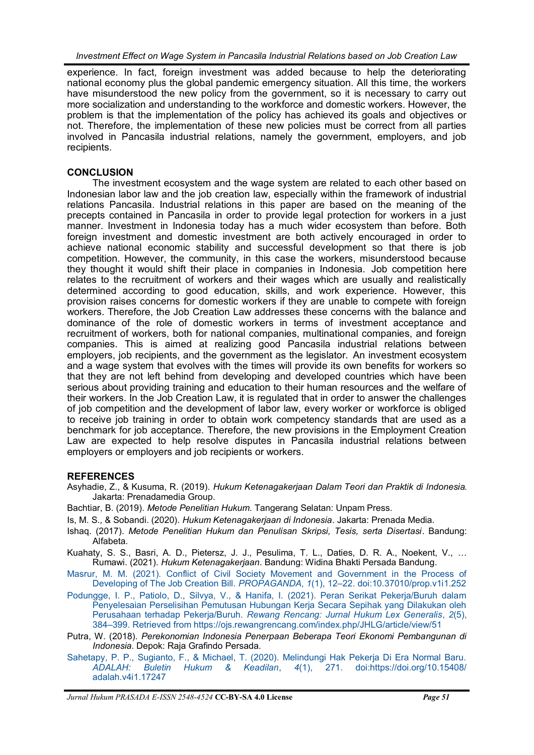<span id="page-6-0"></span>experience. In fact, foreign investment was added because to help the deteriorating national economy plus the global pandemic emergency situation. All this time, the workers have misunderstood the new policy from the government, so it is necessary to carry out more socialization and understanding to the workforce and domestic workers. However, the problem is that the implementation of the policy has achieved its goals and objectives or not. Therefore, the implementation of these new policies must be correct from all parties involved in Pancasila industrial relations, namely the government, employers, and job recipients.

# **CONCLUSION**

The investment ecosystem and the wage system are related to each other based on Indonesian labor law and the job creation law, especially within the framework of industrial relations Pancasila. Industrial relations in this paper are based on the meaning of the precepts contained in Pancasila in order to provide legal protection for workers in a just manner. Investment in Indonesia today has a much wider ecosystem than before. Both foreign investment and domestic investment are both actively encouraged in order to achieve national economic stability and successful development so that there is job competition. However, the community, in this case the workers, misunderstood because they thought it would shift their place in companies in Indonesia. Job competition here relates to the recruitment of workers and their wages which are usually and realistically determined according to good education, skills, and work experience. However, this provision raises concerns for domestic workers if they are unable to compete with foreign workers. Therefore, the Job Creation Law addresses these concerns with the balance and dominance of the role of domestic workers in terms of investment acceptance and recruitment of workers, both for national companies, multinational companies, and foreign companies. This is aimed at realizing good Pancasila industrial relations between employers, job recipients, and the government as the legislator. An investment ecosystem and a wage system that evolves with the times will provide its own benefits for workers so that they are not left behind from developing and developed countries which have been serious about providing training and education to their human resources and the welfare of their workers. In the Job Creation Law, it is regulated that in order to answer the challenges of job competition and the development of labor law, every worker or workforce is obliged to receive job training in order to obtain work competency standards that are used as a benchmark for job acceptance. Therefore, the new provisions in the Employment Creation Law are expected to help resolve disputes in Pancasila industrial relations between employers or employers and job recipients or workers.

# **REFERENCES**

- Asyhadie, Z., & Kusuma, R. (2019). *Hukum Ketenagakerjaan Dalam Teori dan Praktik di Indonesia*. Jakarta: Prenadamedia Group.
- Bachtiar, B. (2019). *Metode Penelitian Hukum*. Tangerang Selatan: Unpam Press.
- Is, M. S., & Sobandi. (2020). *Hukum Ketenagakerjaan di Indonesia*. Jakarta: Prenada Media.
- Ishaq. (2017). *Metode Penelitian Hukum dan Penulisan Skripsi, Tesis, serta Disertasi*. Bandung: Alfabeta.
- Kuahaty, S. S., Basri, A. D., Pietersz, J. J., Pesulima, T. L., Daties, D. R. A., Noekent, V., … Rumawi. (2021). *Hukum Ketenagakerjaan*. Bandung: Widina Bhakti Persada Bandung.
- [Masrur, M. M. \(2021\). Conflict of Civil Society Movement and Government in the Process of](https://journal.neolectura.com/index.php/propaganda/article/view/252/174)  [Developing of The Job Creation Bill.](https://journal.neolectura.com/index.php/propaganda/article/view/252/174) *PROPAGANDA*, *1*(1), 12–22. doi:10.37010/prop.v1i1.252
- [Podungge, I. P., Patiolo, D., Silvya, V., & Hanifa, I. \(2021\). Peran Serikat Pekerja/Buruh dalam](https://ojs.rewangrencang.com/index.php/JHLG/article/view/51)  [Penyelesaian Perselisihan Pemutusan Hubungan Kerja Secara Sepihak yang Dilakukan oleh](https://ojs.rewangrencang.com/index.php/JHLG/article/view/51)  Perusahaan terhadap Pekerja/Buruh. *[Rewang Rencang: Jurnal Hukum Lex Generalis](https://ojs.rewangrencang.com/index.php/JHLG/article/view/51)*, *2*(5), 384–399. [Retrieved from https://ojs.rewangrencang.com/index.php/JHLG/article/view/51](https://ojs.rewangrencang.com/index.php/JHLG/article/view/51)
- Putra, W. (2018). *Perekonomian Indonesia Penerpaan Beberapa Teori Ekonomi Pembangunan di Indonesia*. Depok: Raja Grafindo Persada.
- Sahetapy, P. P., Sugianto, F., & Michael, T. (2020). Melindungi Hak Pekerja Di Era Normal Baru.<br>ADALAH: Buletin Hukum & Keadilan. 4(1). 271. doi:https://doi.org/10.15408/ *Buletin Hukum & Keadilan, 4(1), 271.* [adalah.v4i1.17247](http://journal.uinjkt.ac.id/index.php/adalah/article/view/17247)

*Jurnal Hukum PRASADA E-ISSN 2548-4524* **CC-BY-SA 4.0 License** *Page 51*